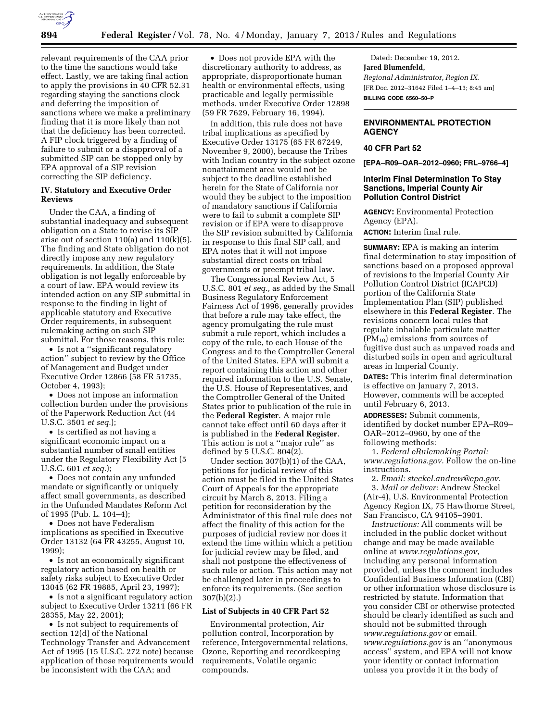

relevant requirements of the CAA prior to the time the sanctions would take effect. Lastly, we are taking final action to apply the provisions in 40 CFR 52.31 regarding staying the sanctions clock and deferring the imposition of sanctions where we make a preliminary finding that it is more likely than not that the deficiency has been corrected. A FIP clock triggered by a finding of failure to submit or a disapproval of a submitted SIP can be stopped only by EPA approval of a SIP revision correcting the SIP deficiency.

### **IV. Statutory and Executive Order Reviews**

Under the CAA, a finding of substantial inadequacy and subsequent obligation on a State to revise its SIP arise out of section  $110(a)$  and  $110(k)(5)$ . The finding and State obligation do not directly impose any new regulatory requirements. In addition, the State obligation is not legally enforceable by a court of law. EPA would review its intended action on any SIP submittal in response to the finding in light of applicable statutory and Executive Order requirements, in subsequent rulemaking acting on such SIP submittal. For those reasons, this rule:

• Is not a ''significant regulatory action'' subject to review by the Office of Management and Budget under Executive Order 12866 (58 FR 51735, October 4, 1993);

• Does not impose an information collection burden under the provisions of the Paperwork Reduction Act (44 U.S.C. 3501 *et seq.*);

• Is certified as not having a significant economic impact on a substantial number of small entities under the Regulatory Flexibility Act (5 U.S.C. 601 *et seq.*);

• Does not contain any unfunded mandate or significantly or uniquely affect small governments, as described in the Unfunded Mandates Reform Act of 1995 (Pub. L. 104–4);

• Does not have Federalism implications as specified in Executive Order 13132 (64 FR 43255, August 10, 1999);

• Is not an economically significant regulatory action based on health or safety risks subject to Executive Order 13045 (62 FR 19885, April 23, 1997);

• Is not a significant regulatory action subject to Executive Order 13211 (66 FR 28355, May 22, 2001);

• Is not subject to requirements of section 12(d) of the National Technology Transfer and Advancement Act of 1995 (15 U.S.C. 272 note) because application of those requirements would be inconsistent with the CAA; and

• Does not provide EPA with the discretionary authority to address, as appropriate, disproportionate human health or environmental effects, using practicable and legally permissible methods, under Executive Order 12898 (59 FR 7629, February 16, 1994).

In addition, this rule does not have tribal implications as specified by Executive Order 13175 (65 FR 67249, November 9, 2000), because the Tribes with Indian country in the subject ozone nonattainment area would not be subject to the deadline established herein for the State of California nor would they be subject to the imposition of mandatory sanctions if California were to fail to submit a complete SIP revision or if EPA were to disapprove the SIP revision submitted by California in response to this final SIP call, and EPA notes that it will not impose substantial direct costs on tribal governments or preempt tribal law.

The Congressional Review Act, 5 U.S.C. 801 *et seq.,* as added by the Small Business Regulatory Enforcement Fairness Act of 1996, generally provides that before a rule may take effect, the agency promulgating the rule must submit a rule report, which includes a copy of the rule, to each House of the Congress and to the Comptroller General of the United States. EPA will submit a report containing this action and other required information to the U.S. Senate, the U.S. House of Representatives, and the Comptroller General of the United States prior to publication of the rule in the **Federal Register**. A major rule cannot take effect until 60 days after it is published in the **Federal Register**. This action is not a ''major rule'' as defined by 5 U.S.C. 804(2).

Under section 307(b)(1) of the CAA, petitions for judicial review of this action must be filed in the United States Court of Appeals for the appropriate circuit by March 8, 2013. Filing a petition for reconsideration by the Administrator of this final rule does not affect the finality of this action for the purposes of judicial review nor does it extend the time within which a petition for judicial review may be filed, and shall not postpone the effectiveness of such rule or action. This action may not be challenged later in proceedings to enforce its requirements. (See section 307(b)(2).)

### **List of Subjects in 40 CFR Part 52**

Environmental protection, Air pollution control, Incorporation by reference, Intergovernmental relations, Ozone, Reporting and recordkeeping requirements, Volatile organic compounds.

Dated: December 19, 2012. **Jared Blumenfeld,**  *Regional Administrator, Region IX.*  [FR Doc. 2012–31642 Filed 1–4–13; 8:45 am] **BILLING CODE 6560–50–P** 

# **ENVIRONMENTAL PROTECTION AGENCY**

# **40 CFR Part 52**

**[EPA–R09–OAR–2012–0960; FRL–9766–4]** 

# **Interim Final Determination To Stay Sanctions, Imperial County Air Pollution Control District**

**AGENCY:** Environmental Protection Agency (EPA).

**ACTION:** Interim final rule.

**SUMMARY:** EPA is making an interim final determination to stay imposition of sanctions based on a proposed approval of revisions to the Imperial County Air Pollution Control District (ICAPCD) portion of the California State Implementation Plan (SIP) published elsewhere in this **Federal Register**. The revisions concern local rules that regulate inhalable particulate matter  $(PM_{10})$  emissions from sources of fugitive dust such as unpaved roads and disturbed soils in open and agricultural areas in Imperial County.

**DATES:** This interim final determination is effective on January 7, 2013. However, comments will be accepted until February 6, 2013.

**ADDRESSES:** Submit comments, identified by docket number EPA–R09– OAR–2012–0960, by one of the following methods:

1. *Federal eRulemaking Portal: [www.regulations.gov](http://www.regulations.gov)*. Follow the on-line instructions.

2. *Email: [steckel.andrew@epa.gov.](mailto:steckel.andrew@epa.gov)*  3. *Mail or deliver:* Andrew Steckel (Air-4), U.S. Environmental Protection Agency Region IX, 75 Hawthorne Street, San Francisco, CA 94105–3901.

*Instructions:* All comments will be included in the public docket without change and may be made available online at *[www.regulations.gov](http://www.regulations.gov)*, including any personal information provided, unless the comment includes Confidential Business Information (CBI) or other information whose disclosure is restricted by statute. Information that you consider CBI or otherwise protected should be clearly identified as such and should not be submitted through *[www.regulations.gov](http://www.regulations.gov)* or email. *[www.regulations.gov](http://www.regulations.gov)* is an ''anonymous access'' system, and EPA will not know your identity or contact information unless you provide it in the body of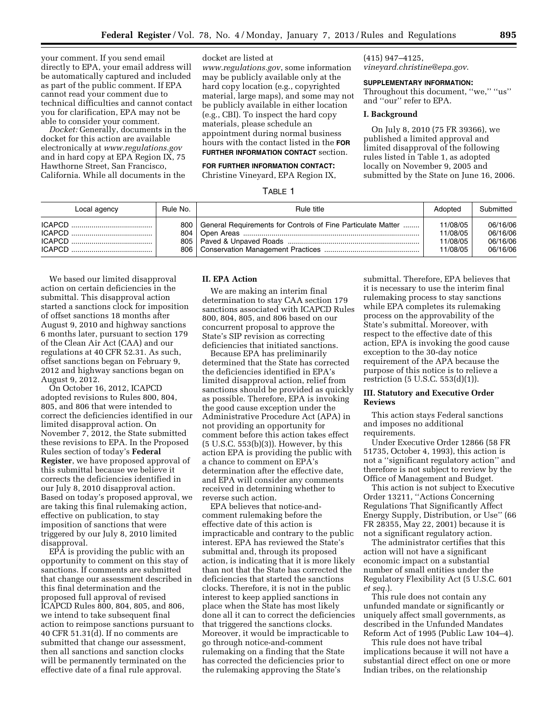your comment. If you send email directly to EPA, your email address will be automatically captured and included as part of the public comment. If EPA cannot read your comment due to technical difficulties and cannot contact you for clarification, EPA may not be able to consider your comment.

*Docket:* Generally, documents in the docket for this action are available electronically at *[www.regulations.gov](http://www.regulations.gov)*  and in hard copy at EPA Region IX, 75 Hawthorne Street, San Francisco, California. While all documents in the

docket are listed at

*[www.regulations.gov](http://www.regulations.gov)*, some information may be publicly available only at the hard copy location (e.g., copyrighted material, large maps), and some may not be publicly available in either location (e.g., CBI). To inspect the hard copy materials, please schedule an appointment during normal business hours with the contact listed in the **FOR FURTHER INFORMATION CONTACT** section.

### **FOR FURTHER INFORMATION CONTACT:**

Christine Vineyard, EPA Region IX,

#### TABLE 1

(415) 947–4125, *[vineyard.christine@epa.gov](mailto:vineyard.christine@epa.gov)*.

#### **SUPPLEMENTARY INFORMATION:**

Throughout this document, "we," "us" and ''our'' refer to EPA.

## **I. Background**

On July 8, 2010 (75 FR 39366), we published a limited approval and limited disapproval of the following rules listed in Table 1, as adopted locally on November 9, 2005 and submitted by the State on June 16, 2006.

| Local agency | Rule No. | Rule title                                                         | Adopted  | Submitted |
|--------------|----------|--------------------------------------------------------------------|----------|-----------|
|              |          | 800   General Requirements for Controls of Fine Particulate Matter | 11/08/05 | 06/16/06  |
|              |          |                                                                    | 11/08/05 | 06/16/06  |
|              |          |                                                                    | 11/08/05 | 06/16/06  |
|              |          |                                                                    | 11/08/05 | 06/16/06  |

We based our limited disapproval action on certain deficiencies in the submittal. This disapproval action started a sanctions clock for imposition of offset sanctions 18 months after August 9, 2010 and highway sanctions 6 months later, pursuant to section 179 of the Clean Air Act (CAA) and our regulations at 40 CFR 52.31. As such, offset sanctions began on February 9, 2012 and highway sanctions began on August 9, 2012.

On October 16, 2012, ICAPCD adopted revisions to Rules 800, 804, 805, and 806 that were intended to correct the deficiencies identified in our limited disapproval action. On November 7, 2012, the State submitted these revisions to EPA. In the Proposed Rules section of today's **Federal Register**, we have proposed approval of this submittal because we believe it corrects the deficiencies identified in our July 8, 2010 disapproval action. Based on today's proposed approval, we are taking this final rulemaking action, effective on publication, to stay imposition of sanctions that were triggered by our July 8, 2010 limited disapproval.

EPA is providing the public with an opportunity to comment on this stay of sanctions. If comments are submitted that change our assessment described in this final determination and the proposed full approval of revised ICAPCD Rules 800, 804, 805, and 806, we intend to take subsequent final action to reimpose sanctions pursuant to 40 CFR 51.31(d). If no comments are submitted that change our assessment, then all sanctions and sanction clocks will be permanently terminated on the effective date of a final rule approval.

# **II. EPA Action**

We are making an interim final determination to stay CAA section 179 sanctions associated with ICAPCD Rules 800, 804, 805, and 806 based on our concurrent proposal to approve the State's SIP revision as correcting deficiencies that initiated sanctions.

Because EPA has preliminarily determined that the State has corrected the deficiencies identified in EPA's limited disapproval action, relief from sanctions should be provided as quickly as possible. Therefore, EPA is invoking the good cause exception under the Administrative Procedure Act (APA) in not providing an opportunity for comment before this action takes effect (5 U.S.C. 553(b)(3)). However, by this action EPA is providing the public with a chance to comment on EPA's determination after the effective date, and EPA will consider any comments received in determining whether to reverse such action.

EPA believes that notice-andcomment rulemaking before the effective date of this action is impracticable and contrary to the public interest. EPA has reviewed the State's submittal and, through its proposed action, is indicating that it is more likely than not that the State has corrected the deficiencies that started the sanctions clocks. Therefore, it is not in the public interest to keep applied sanctions in place when the State has most likely done all it can to correct the deficiencies that triggered the sanctions clocks. Moreover, it would be impracticable to go through notice-and-comment rulemaking on a finding that the State has corrected the deficiencies prior to the rulemaking approving the State's

submittal. Therefore, EPA believes that it is necessary to use the interim final rulemaking process to stay sanctions while EPA completes its rulemaking process on the approvability of the State's submittal. Moreover, with respect to the effective date of this action, EPA is invoking the good cause exception to the 30-day notice requirement of the APA because the purpose of this notice is to relieve a restriction (5 U.S.C. 553(d)(1)).

### **III. Statutory and Executive Order Reviews**

This action stays Federal sanctions and imposes no additional requirements.

Under Executive Order 12866 (58 FR 51735, October 4, 1993), this action is not a ''significant regulatory action'' and therefore is not subject to review by the Office of Management and Budget.

This action is not subject to Executive Order 13211, ''Actions Concerning Regulations That Significantly Affect Energy Supply, Distribution, or Use'' (66 FR 28355, May 22, 2001) because it is not a significant regulatory action.

The administrator certifies that this action will not have a significant economic impact on a substantial number of small entities under the Regulatory Flexibility Act (5 U.S.C. 601 *et seq.*).

This rule does not contain any unfunded mandate or significantly or uniquely affect small governments, as described in the Unfunded Mandates Reform Act of 1995 (Public Law 104–4).

This rule does not have tribal implications because it will not have a substantial direct effect on one or more Indian tribes, on the relationship